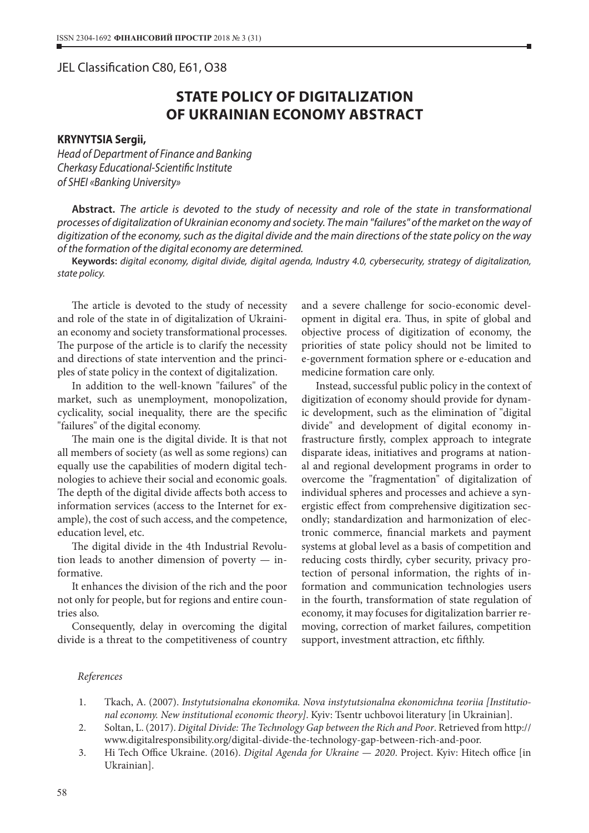## JEL Classification C80, E61, O38

## **STATE POLICY OF DIGITALIZATION OF UKRAINIAN ECONOMY ABSTRACT**

## **KRYNYTSIA Sergii,**

*Head of Department of Finance and Banking Cherkasy Educational-Scientific Institute of SHEI «Banking University»*

**Abstract.** *The article is devoted to the study of necessity and role of the state in transformational processes of digitalization of Ukrainian economy and society. The main "failures" of the market on the way of digitization of the economy, such as the digital divide and the main directions of the state policy on the way of the formation of the digital economy are determined.*

**Keywords:** *digital economy, digital divide, digital agenda, Industry 4.0, cybersecurity, strategy of digitalization, state policy.*

The article is devoted to the study of necessity and role of the state in of digitalization of Ukrainian economy and society transformational processes. The purpose of the article is to clarify the necessity and directions of state intervention and the principles of state policy in the context of digitalization.

In addition to the well-known "failures" of the market, such as unemployment, monopolization, cyclicality, social inequality, there are the specific "failures" of the digital economy.

The main one is the digital divide. It is that not all members of society (as well as some regions) can equally use the capabilities of modern digital technologies to achieve their social and economic goals. The depth of the digital divide affects both access to information services (access to the Internet for example), the cost of such access, and the competence, education level, etc.

The digital divide in the 4th Industrial Revolution leads to another dimension of poverty — informative.

It enhances the division of the rich and the poor not only for people, but for regions and entire countries also.

Consequently, delay in overcoming the digital divide is a threat to the competitiveness of country and a severe challenge for socio-economic development in digital era. Thus, in spite of global and objective process of digitization of economy, the priorities of state policy should not be limited to e-government formation sphere or e-education and medicine formation care only.

Instead, successful public policy in the context of digitization of economy should provide for dynamic development, such as the elimination of "digital divide" and development of digital economy infrastructure firstly, complex approach to integrate disparate ideas, initiatives and programs at national and regional development programs in order to overcome the "fragmentation" of digitalization of individual spheres and processes and achieve a synergistic effect from comprehensive digitization secondly; standardization and harmonization of electronic commerce, financial markets and payment systems at global level as a basis of competition and reducing costs thirdly, cyber security, privacy protection of personal information, the rights of information and communication technologies users in the fourth, transformation of state regulation of economy, it may focuses for digitalization barrier removing, correction of market failures, competition support, investment attraction, etc fifthly.

## *References*

- 1. Tkach, А. (2007). *Instytutsionalna ekonomika. Nova instytutsionalna ekonomichna teoriia [Institutional economy. New institutional economic theory]*. Kyiv: Tsentr uchbovoi literatury [in Ukrainian].
- 2. Soltan, L. (2017). *Digital Divide: The Technology Gap between the Rich and Poor*. Retrieved from http:// www.digitalresponsibility.org/digital-divide-the-technology-gap-between-rich-and-poor.
- 3. Hi Tech Office Ukraine. (2016). *Digital Agenda for Ukraine 2020*. Project. Kyiv: Hitech office [in Ukrainian].